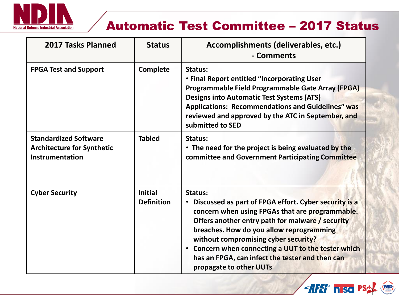

# Automatic Test Committee – 2017 Status

| <b>2017 Tasks Planned</b>                                                            | <b>Status</b>                       | Accomplishments (deliverables, etc.)<br>- Comments                                                                                                                                                                                                                                                                                                                                               |
|--------------------------------------------------------------------------------------|-------------------------------------|--------------------------------------------------------------------------------------------------------------------------------------------------------------------------------------------------------------------------------------------------------------------------------------------------------------------------------------------------------------------------------------------------|
| <b>FPGA Test and Support</b>                                                         | <b>Complete</b>                     | Status:<br>• Final Report entitled "Incorporating User<br>Programmable Field Programmable Gate Array (FPGA)<br><b>Designs into Automatic Test Systems (ATS)</b><br><b>Applications: Recommendations and Guidelines" was</b><br>reviewed and approved by the ATC in September, and<br>submitted to SED                                                                                            |
| <b>Standardized Software</b><br><b>Architecture for Synthetic</b><br>Instrumentation | <b>Tabled</b>                       | Status:<br>• The need for the project is being evaluated by the<br>committee and Government Participating Committee                                                                                                                                                                                                                                                                              |
| <b>Cyber Security</b>                                                                | <b>Initial</b><br><b>Definition</b> | Status:<br>Discussed as part of FPGA effort. Cyber security is a<br>concern when using FPGAs that are programmable.<br>Offers another entry path for malware / security<br>breaches. How do you allow reprogramming<br>without compromising cyber security?<br>• Concern when connecting a UUT to the tester which<br>has an FPGA, can infect the tester and then can<br>propagate to other UUTs |

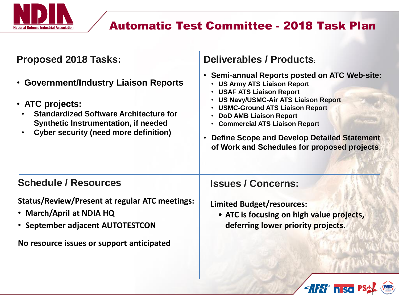

## Automatic Test Committee - 2018 Task Plan

**AFET IN SO PSAL (WD)** 

| <b>Proposed 2018 Tasks:</b>                                                                                                                                                                       | Deliverables / Products                                                                                                                                                                                                                                                                                                                                                                                                                              |
|---------------------------------------------------------------------------------------------------------------------------------------------------------------------------------------------------|------------------------------------------------------------------------------------------------------------------------------------------------------------------------------------------------------------------------------------------------------------------------------------------------------------------------------------------------------------------------------------------------------------------------------------------------------|
| • Government/Industry Liaison Reports<br>• ATC projects:<br><b>Standardized Software Architecture for</b><br>Synthetic Instrumentation, if needed<br><b>Cyber security (need more definition)</b> | • Semi-annual Reports posted on ATC Web-site:<br><b>US Army ATS Liaison Report</b><br>$\bullet$<br><b>USAF ATS Liaison Report</b><br>$\bullet$<br><b>US Navy/USMC-Air ATS Liaison Report</b><br><b>USMC-Ground ATS Liaison Report</b><br>$\bullet$<br><b>DoD AMB Liaison Report</b><br><b>Commercial ATS Liaison Report</b><br>$\bullet$<br>Define Scope and Develop Detailed Statement<br>$\bullet$<br>of Work and Schedules for proposed projects. |
| <b>Schedule / Resources</b>                                                                                                                                                                       | <b>Issues / Concerns:</b>                                                                                                                                                                                                                                                                                                                                                                                                                            |
| <b>Status/Review/Present at regular ATC meetings:</b><br>• March/April at NDIA HQ<br>• September adjacent AUTOTESTCON                                                                             | <b>Limited Budget/resources:</b><br>• ATC is focusing on high value projects,<br>deferring lower priority projects.                                                                                                                                                                                                                                                                                                                                  |
| No resource issues or support anticipated                                                                                                                                                         |                                                                                                                                                                                                                                                                                                                                                                                                                                                      |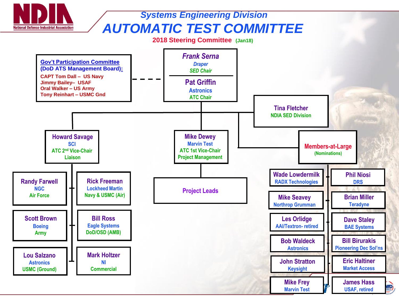

### *Systems Engineering Division AUTOMATIC TEST COMMITTEE*

#### **2018 Steering Committee (Jan18)**